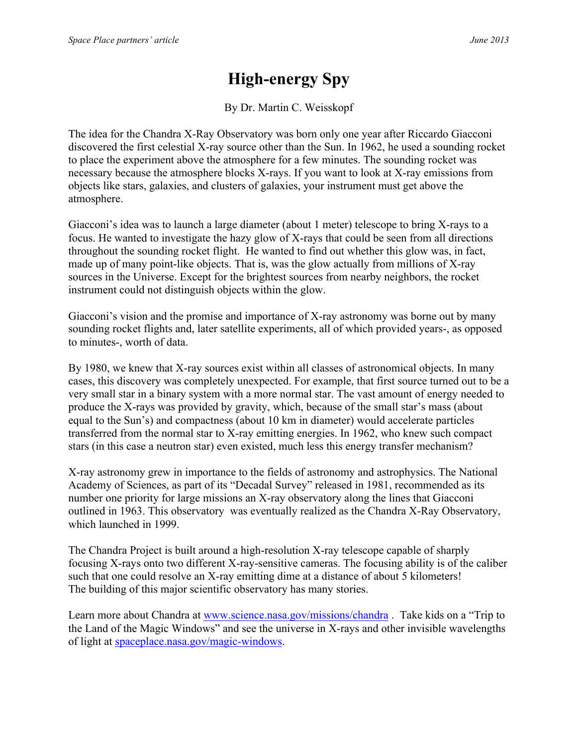## **High-energy Spy**

By Dr. Martin C. Weisskopf

The idea for the Chandra X-Ray Observatory was born only one year after Riccardo Giacconi discovered the first celestial X-ray source other than the Sun. In 1962, he used a sounding rocket to place the experiment above the atmosphere for a few minutes. The sounding rocket was necessary because the atmosphere blocks X-rays. If you want to look at X-ray emissions from objects like stars, galaxies, and clusters of galaxies, your instrument must get above the atmosphere.

Giacconi's idea was to launch a large diameter (about 1 meter) telescope to bring X-rays to a focus. He wanted to investigate the hazy glow of X-rays that could be seen from all directions throughout the sounding rocket flight. He wanted to find out whether this glow was, in fact, made up of many point-like objects. That is, was the glow actually from millions of X-ray sources in the Universe. Except for the brightest sources from nearby neighbors, the rocket instrument could not distinguish objects within the glow.

Giacconi's vision and the promise and importance of X-ray astronomy was borne out by many sounding rocket flights and, later satellite experiments, all of which provided years-, as opposed to minutes-, worth of data.

By 1980, we knew that X-ray sources exist within all classes of astronomical objects. In many cases, this discovery was completely unexpected. For example, that first source turned out to be a very small star in a binary system with a more normal star. The vast amount of energy needed to produce the X-rays was provided by gravity, which, because of the small star's mass (about equal to the Sun's) and compactness (about 10 km in diameter) would accelerate particles transferred from the normal star to X-ray emitting energies. In 1962, who knew such compact stars (in this case a neutron star) even existed, much less this energy transfer mechanism?

X-ray astronomy grew in importance to the fields of astronomy and astrophysics. The National Academy of Sciences, as part of its "Decadal Survey" released in 1981, recommended as its number one priority for large missions an X-ray observatory along the lines that Giacconi outlined in 1963. This observatory was eventually realized as the Chandra X-Ray Observatory, which launched in 1999.

The Chandra Project is built around a high-resolution X-ray telescope capable of sharply focusing X-rays onto two different X-ray-sensitive cameras. The focusing ability is of the caliber such that one could resolve an X-ray emitting dime at a distance of about 5 kilometers! The building of this major scientific observatory has many stories.

Learn more about Chandra at www.science.nasa.gov/missions/chandra . Take kids on a "Trip to the Land of the Magic Windows" and see the universe in X-rays and other invisible wavelengths of light at spaceplace.nasa.gov/magic-windows.